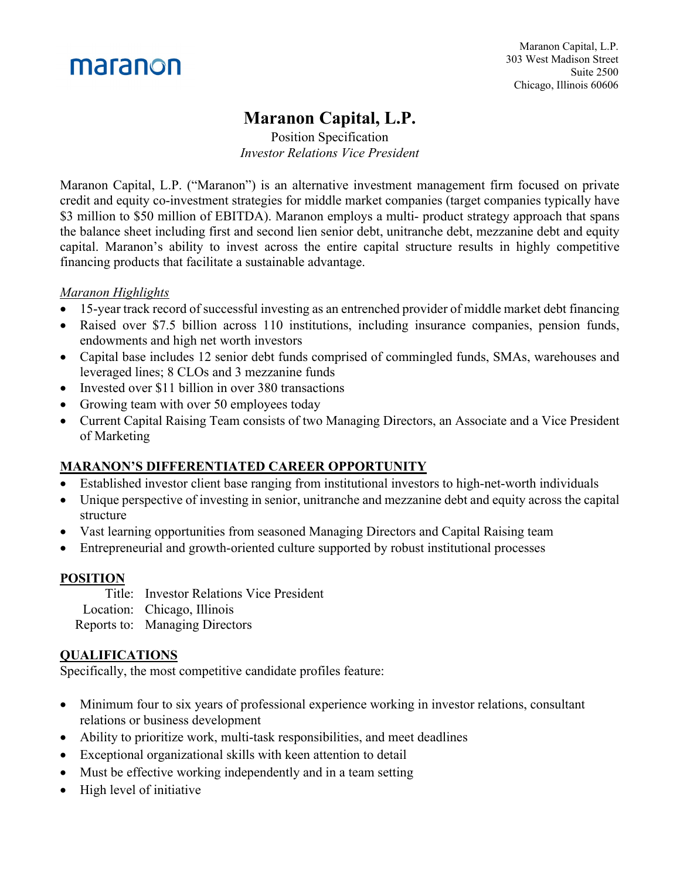

# **Maranon Capital, L.P.**

Position Specification *Investor Relations Vice President*

Maranon Capital, L.P. ("Maranon") is an alternative investment management firm focused on private credit and equity co-investment strategies for middle market companies (target companies typically have \$3 million to \$50 million of EBITDA). Maranon employs a multi- product strategy approach that spans the balance sheet including first and second lien senior debt, unitranche debt, mezzanine debt and equity capital. Maranon's ability to invest across the entire capital structure results in highly competitive financing products that facilitate a sustainable advantage.

#### *Maranon Highlights*

- 15-year track record of successful investing as an entrenched provider of middle market debt financing
- Raised over \$7.5 billion across 110 institutions, including insurance companies, pension funds, endowments and high net worth investors
- Capital base includes 12 senior debt funds comprised of commingled funds, SMAs, warehouses and leveraged lines; 8 CLOs and 3 mezzanine funds
- Invested over \$11 billion in over 380 transactions
- Growing team with over 50 employees today
- Current Capital Raising Team consists of two Managing Directors, an Associate and a Vice President of Marketing

## **MARANON'S DIFFERENTIATED CAREER OPPORTUNITY**

- Established investor client base ranging from institutional investors to high-net-worth individuals
- Unique perspective of investing in senior, unitranche and mezzanine debt and equity across the capital structure
- Vast learning opportunities from seasoned Managing Directors and Capital Raising team
- Entrepreneurial and growth-oriented culture supported by robust institutional processes

#### **POSITION**

Title: Investor Relations Vice President Location: Chicago, Illinois Reports to: Managing Directors

#### **QUALIFICATIONS**

Specifically, the most competitive candidate profiles feature:

- Minimum four to six years of professional experience working in investor relations, consultant relations or business development
- Ability to prioritize work, multi-task responsibilities, and meet deadlines
- Exceptional organizational skills with keen attention to detail
- Must be effective working independently and in a team setting
- High level of initiative